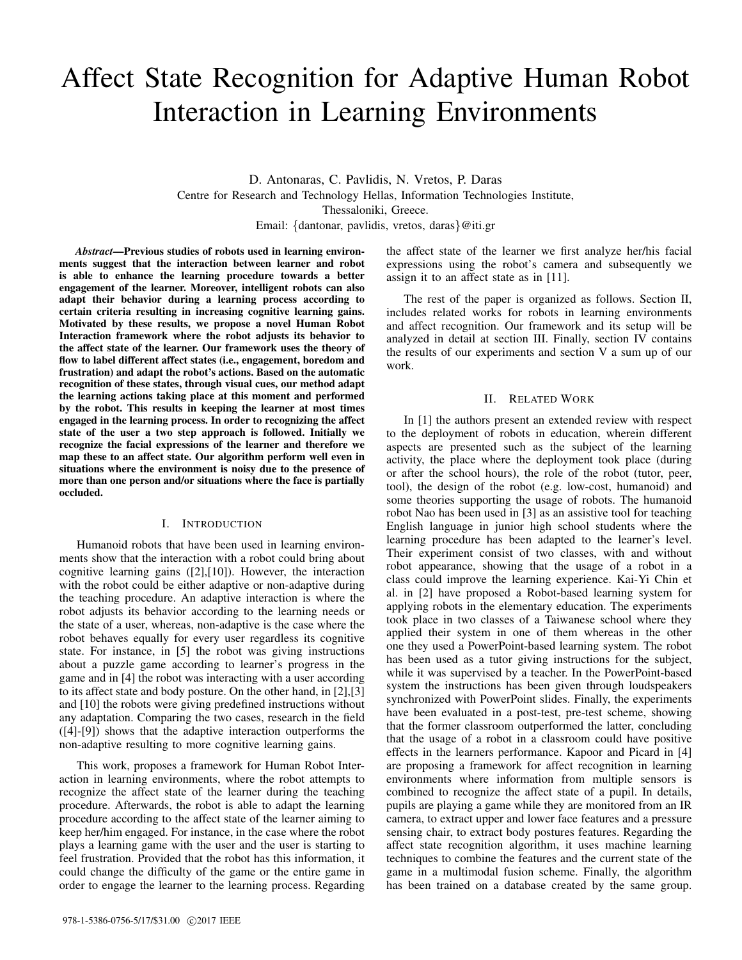# Affect State Recognition for Adaptive Human Robot Interaction in Learning Environments

D. Antonaras, C. Pavlidis, N. Vretos, P. Daras Centre for Research and Technology Hellas, Information Technologies Institute, Thessaloniki, Greece. Email: {dantonar, pavlidis, vretos, daras}@iti.gr

*Abstract*—Previous studies of robots used in learning environments suggest that the interaction between learner and robot is able to enhance the learning procedure towards a better engagement of the learner. Moreover, intelligent robots can also adapt their behavior during a learning process according to certain criteria resulting in increasing cognitive learning gains. Motivated by these results, we propose a novel Human Robot Interaction framework where the robot adjusts its behavior to the affect state of the learner. Our framework uses the theory of flow to label different affect states (i.e., engagement, boredom and frustration) and adapt the robot's actions. Based on the automatic recognition of these states, through visual cues, our method adapt the learning actions taking place at this moment and performed by the robot. This results in keeping the learner at most times engaged in the learning process. In order to recognizing the affect state of the user a two step approach is followed. Initially we recognize the facial expressions of the learner and therefore we map these to an affect state. Our algorithm perform well even in situations where the environment is noisy due to the presence of more than one person and/or situations where the face is partially occluded.

# I. INTRODUCTION

Humanoid robots that have been used in learning environments show that the interaction with a robot could bring about cognitive learning gains ([2],[10]). However, the interaction with the robot could be either adaptive or non-adaptive during the teaching procedure. An adaptive interaction is where the robot adjusts its behavior according to the learning needs or the state of a user, whereas, non-adaptive is the case where the robot behaves equally for every user regardless its cognitive state. For instance, in [5] the robot was giving instructions about a puzzle game according to learner's progress in the game and in [4] the robot was interacting with a user according to its affect state and body posture. On the other hand, in [2],[3] and [10] the robots were giving predefined instructions without any adaptation. Comparing the two cases, research in the field ([4]-[9]) shows that the adaptive interaction outperforms the non-adaptive resulting to more cognitive learning gains.

This work, proposes a framework for Human Robot Interaction in learning environments, where the robot attempts to recognize the affect state of the learner during the teaching procedure. Afterwards, the robot is able to adapt the learning procedure according to the affect state of the learner aiming to keep her/him engaged. For instance, in the case where the robot plays a learning game with the user and the user is starting to feel frustration. Provided that the robot has this information, it could change the difficulty of the game or the entire game in order to engage the learner to the learning process. Regarding the affect state of the learner we first analyze her/his facial expressions using the robot's camera and subsequently we assign it to an affect state as in [11].

The rest of the paper is organized as follows. Section II, includes related works for robots in learning environments and affect recognition. Our framework and its setup will be analyzed in detail at section III. Finally, section IV contains the results of our experiments and section V a sum up of our work.

#### II. RELATED WORK

In [1] the authors present an extended review with respect to the deployment of robots in education, wherein different aspects are presented such as the subject of the learning activity, the place where the deployment took place (during or after the school hours), the role of the robot (tutor, peer, tool), the design of the robot (e.g. low-cost, humanoid) and some theories supporting the usage of robots. The humanoid robot Nao has been used in [3] as an assistive tool for teaching English language in junior high school students where the learning procedure has been adapted to the learner's level. Their experiment consist of two classes, with and without robot appearance, showing that the usage of a robot in a class could improve the learning experience. Kai-Yi Chin et al. in [2] have proposed a Robot-based learning system for applying robots in the elementary education. The experiments took place in two classes of a Taiwanese school where they applied their system in one of them whereas in the other one they used a PowerPoint-based learning system. The robot has been used as a tutor giving instructions for the subject, while it was supervised by a teacher. In the PowerPoint-based system the instructions has been given through loudspeakers synchronized with PowerPoint slides. Finally, the experiments have been evaluated in a post-test, pre-test scheme, showing that the former classroom outperformed the latter, concluding that the usage of a robot in a classroom could have positive effects in the learners performance. Kapoor and Picard in [4] are proposing a framework for affect recognition in learning environments where information from multiple sensors is combined to recognize the affect state of a pupil. In details, pupils are playing a game while they are monitored from an IR camera, to extract upper and lower face features and a pressure sensing chair, to extract body postures features. Regarding the affect state recognition algorithm, it uses machine learning techniques to combine the features and the current state of the game in a multimodal fusion scheme. Finally, the algorithm has been trained on a database created by the same group.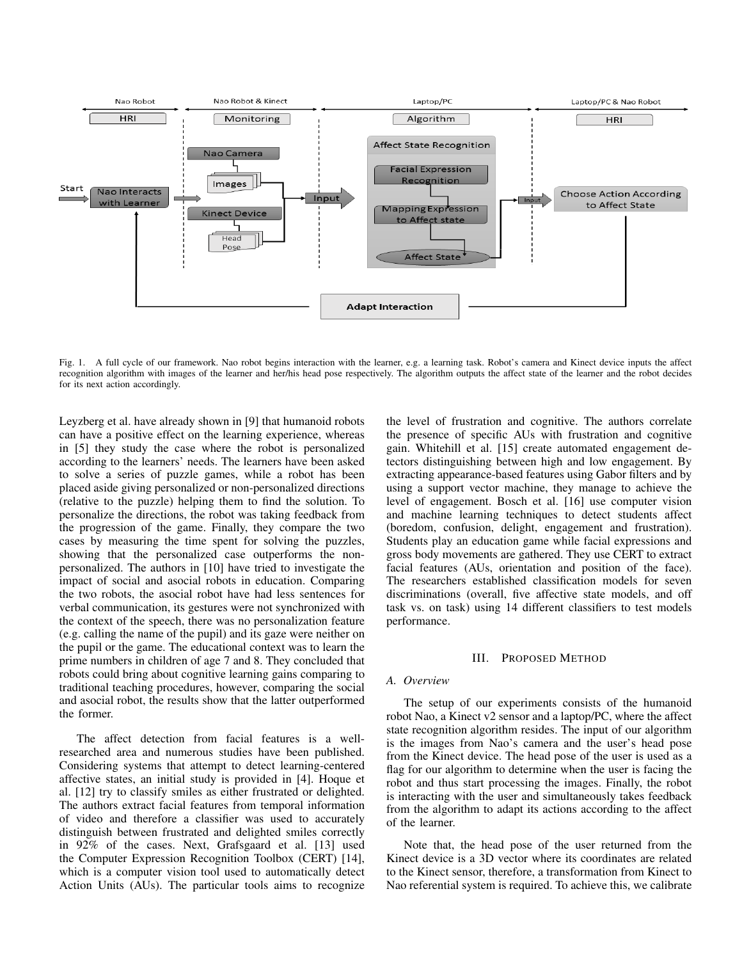

Fig. 1. A full cycle of our framework. Nao robot begins interaction with the learner, e.g. a learning task. Robot's camera and Kinect device inputs the affect recognition algorithm with images of the learner and her/his head pose respectively. The algorithm outputs the affect state of the learner and the robot decides for its next action accordingly.

Leyzberg et al. have already shown in [9] that humanoid robots can have a positive effect on the learning experience, whereas in [5] they study the case where the robot is personalized according to the learners' needs. The learners have been asked to solve a series of puzzle games, while a robot has been placed aside giving personalized or non-personalized directions (relative to the puzzle) helping them to find the solution. To personalize the directions, the robot was taking feedback from the progression of the game. Finally, they compare the two cases by measuring the time spent for solving the puzzles, showing that the personalized case outperforms the nonpersonalized. The authors in [10] have tried to investigate the impact of social and asocial robots in education. Comparing the two robots, the asocial robot have had less sentences for verbal communication, its gestures were not synchronized with the context of the speech, there was no personalization feature (e.g. calling the name of the pupil) and its gaze were neither on the pupil or the game. The educational context was to learn the prime numbers in children of age 7 and 8. They concluded that robots could bring about cognitive learning gains comparing to traditional teaching procedures, however, comparing the social and asocial robot, the results show that the latter outperformed the former.

The affect detection from facial features is a wellresearched area and numerous studies have been published. Considering systems that attempt to detect learning-centered affective states, an initial study is provided in [4]. Hoque et al. [12] try to classify smiles as either frustrated or delighted. The authors extract facial features from temporal information of video and therefore a classifier was used to accurately distinguish between frustrated and delighted smiles correctly in 92% of the cases. Next, Grafsgaard et al. [13] used the Computer Expression Recognition Toolbox (CERT) [14], which is a computer vision tool used to automatically detect Action Units (AUs). The particular tools aims to recognize the level of frustration and cognitive. The authors correlate the presence of specific AUs with frustration and cognitive gain. Whitehill et al. [15] create automated engagement detectors distinguishing between high and low engagement. By extracting appearance-based features using Gabor filters and by using a support vector machine, they manage to achieve the level of engagement. Bosch et al. [16] use computer vision and machine learning techniques to detect students affect (boredom, confusion, delight, engagement and frustration). Students play an education game while facial expressions and gross body movements are gathered. They use CERT to extract facial features (AUs, orientation and position of the face). The researchers established classification models for seven discriminations (overall, five affective state models, and off task vs. on task) using 14 different classifiers to test models performance.

#### III. PROPOSED METHOD

#### *A. Overview*

The setup of our experiments consists of the humanoid robot Nao, a Kinect v2 sensor and a laptop/PC, where the affect state recognition algorithm resides. The input of our algorithm is the images from Nao's camera and the user's head pose from the Kinect device. The head pose of the user is used as a flag for our algorithm to determine when the user is facing the robot and thus start processing the images. Finally, the robot is interacting with the user and simultaneously takes feedback from the algorithm to adapt its actions according to the affect of the learner.

Note that, the head pose of the user returned from the Kinect device is a 3D vector where its coordinates are related to the Kinect sensor, therefore, a transformation from Kinect to Nao referential system is required. To achieve this, we calibrate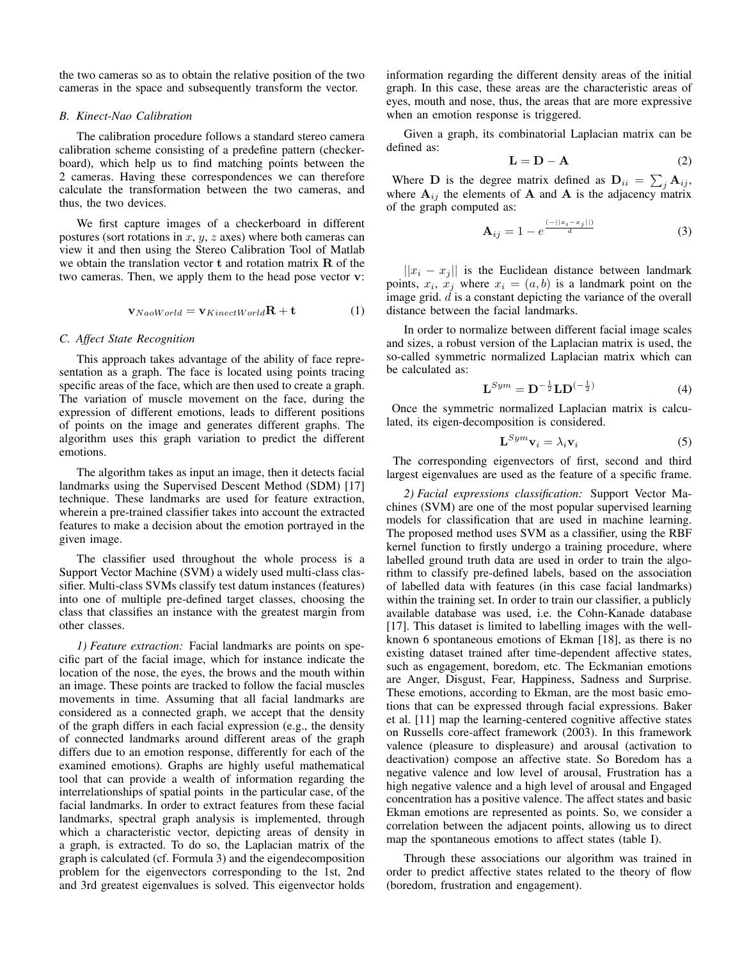the two cameras so as to obtain the relative position of the two cameras in the space and subsequently transform the vector.

# *B. Kinect-Nao Calibration*

The calibration procedure follows a standard stereo camera calibration scheme consisting of a predefine pattern (checkerboard), which help us to find matching points between the 2 cameras. Having these correspondences we can therefore calculate the transformation between the two cameras, and thus, the two devices.

We first capture images of a checkerboard in different postures (sort rotations in  $x, y, z$  axes) where both cameras can view it and then using the Stereo Calibration Tool of Matlab we obtain the translation vector  $t$  and rotation matrix  $\bf{R}$  of the two cameras. Then, we apply them to the head pose vector v:

$$
\mathbf{v}_{NaoWorld} = \mathbf{v}_{KinectWorld}\mathbf{R} + \mathbf{t}
$$
 (1)

# *C. Affect State Recognition*

This approach takes advantage of the ability of face representation as a graph. The face is located using points tracing specific areas of the face, which are then used to create a graph. The variation of muscle movement on the face, during the expression of different emotions, leads to different positions of points on the image and generates different graphs. The algorithm uses this graph variation to predict the different emotions.

The algorithm takes as input an image, then it detects facial landmarks using the Supervised Descent Method (SDM) [17] technique. These landmarks are used for feature extraction, wherein a pre-trained classifier takes into account the extracted features to make a decision about the emotion portrayed in the given image.

The classifier used throughout the whole process is a Support Vector Machine (SVM) a widely used multi-class classifier. Multi-class SVMs classify test datum instances (features) into one of multiple pre-defined target classes, choosing the class that classifies an instance with the greatest margin from other classes.

*1) Feature extraction:* Facial landmarks are points on specific part of the facial image, which for instance indicate the location of the nose, the eyes, the brows and the mouth within an image. These points are tracked to follow the facial muscles movements in time. Assuming that all facial landmarks are considered as a connected graph, we accept that the density of the graph differs in each facial expression (e.g., the density of connected landmarks around different areas of the graph differs due to an emotion response, differently for each of the examined emotions). Graphs are highly useful mathematical tool that can provide a wealth of information regarding the interrelationships of spatial points in the particular case, of the facial landmarks. In order to extract features from these facial landmarks, spectral graph analysis is implemented, through which a characteristic vector, depicting areas of density in a graph, is extracted. To do so, the Laplacian matrix of the graph is calculated (cf. Formula 3) and the eigendecomposition problem for the eigenvectors corresponding to the 1st, 2nd and 3rd greatest eigenvalues is solved. This eigenvector holds

information regarding the different density areas of the initial graph. In this case, these areas are the characteristic areas of eyes, mouth and nose, thus, the areas that are more expressive when an emotion response is triggered.

Given a graph, its combinatorial Laplacian matrix can be defined as:

$$
\mathbf{L} = \mathbf{D} - \mathbf{A} \tag{2}
$$

Where **D** is the degree matrix defined as  $\mathbf{D}_{ii} = \sum_j \mathbf{A}_{ij}$ , where  $A_{ij}$  the elements of A and A is the adjacency matrix of the graph computed as:

$$
\mathbf{A}_{ij} = 1 - e^{\frac{(-||x_i - x_j||)}{d}} \tag{3}
$$

 $||x_i - x_j||$  is the Euclidean distance between landmark points,  $x_i$ ,  $x_j$  where  $x_i = (a, b)$  is a landmark point on the image grid. d is a constant depicting the variance of the overall distance between the facial landmarks.

In order to normalize between different facial image scales and sizes, a robust version of the Laplacian matrix is used, the so-called symmetric normalized Laplacian matrix which can be calculated as:

$$
\mathbf{L}^{Sym} = \mathbf{D}^{-\frac{1}{2}} \mathbf{L} \mathbf{D}^{(-\frac{1}{2})} \tag{4}
$$

Once the symmetric normalized Laplacian matrix is calculated, its eigen-decomposition is considered.

$$
\mathbf{L}^{Sym}\mathbf{v}_i = \lambda_i \mathbf{v}_i \tag{5}
$$

The corresponding eigenvectors of first, second and third largest eigenvalues are used as the feature of a specific frame.

*2) Facial expressions classification:* Support Vector Machines (SVM) are one of the most popular supervised learning models for classification that are used in machine learning. The proposed method uses SVM as a classifier, using the RBF kernel function to firstly undergo a training procedure, where labelled ground truth data are used in order to train the algorithm to classify pre-defined labels, based on the association of labelled data with features (in this case facial landmarks) within the training set. In order to train our classifier, a publicly available database was used, i.e. the Cohn-Kanade database [17]. This dataset is limited to labelling images with the wellknown 6 spontaneous emotions of Ekman [18], as there is no existing dataset trained after time-dependent affective states, such as engagement, boredom, etc. The Eckmanian emotions are Anger, Disgust, Fear, Happiness, Sadness and Surprise. These emotions, according to Ekman, are the most basic emotions that can be expressed through facial expressions. Baker et al. [11] map the learning-centered cognitive affective states on Russells core-affect framework (2003). In this framework valence (pleasure to displeasure) and arousal (activation to deactivation) compose an affective state. So Boredom has a negative valence and low level of arousal, Frustration has a high negative valence and a high level of arousal and Engaged concentration has a positive valence. The affect states and basic Ekman emotions are represented as points. So, we consider a correlation between the adjacent points, allowing us to direct map the spontaneous emotions to affect states (table I).

Through these associations our algorithm was trained in order to predict affective states related to the theory of flow (boredom, frustration and engagement).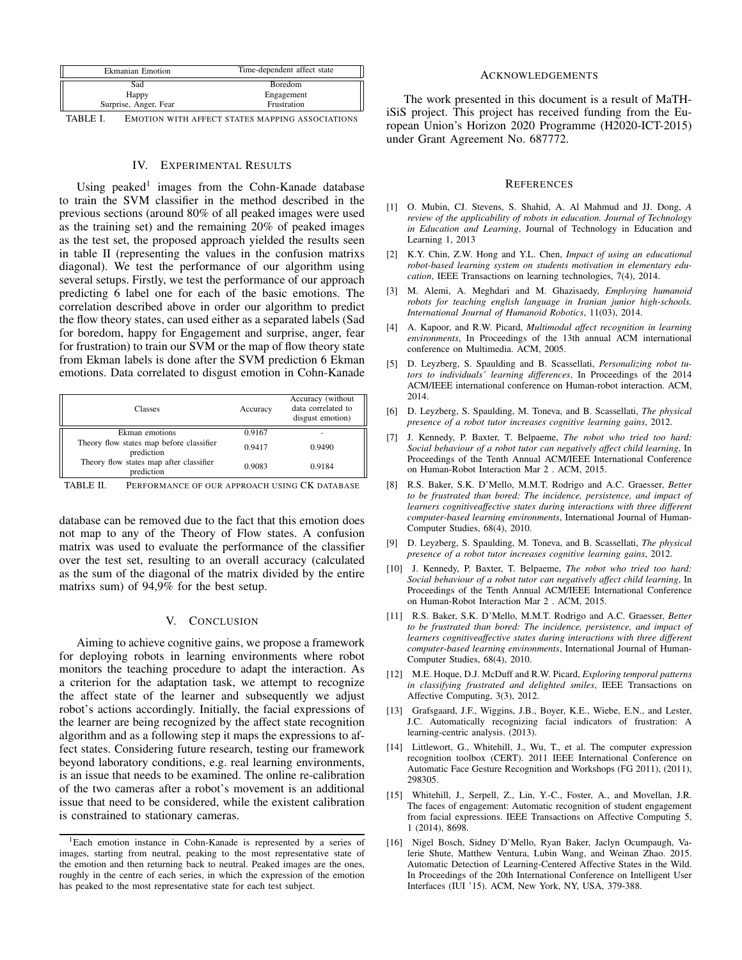| <b>Ekmanian Emotion</b> | Time-dependent affect state |  |
|-------------------------|-----------------------------|--|
| Sad                     | Boredom                     |  |
| Happy                   | Engagement                  |  |
| Surprise, Anger, Fear   | Frustration                 |  |

TABLE I. EMOTION WITH AFFECT STATES MAPPING ASSOCIATIONS

## IV. EXPERIMENTAL RESULTS

Using peaked<sup>1</sup> images from the Cohn-Kanade database to train the SVM classifier in the method described in the previous sections (around 80% of all peaked images were used as the training set) and the remaining 20% of peaked images as the test set, the proposed approach yielded the results seen in table II (representing the values in the confusion matrixs diagonal). We test the performance of our algorithm using several setups. Firstly, we test the performance of our approach predicting 6 label one for each of the basic emotions. The correlation described above in order our algorithm to predict the flow theory states, can used either as a separated labels (Sad for boredom, happy for Engagement and surprise, anger, fear for frustration) to train our SVM or the map of flow theory state from Ekman labels is done after the SVM prediction 6 Ekman emotions. Data correlated to disgust emotion in Cohn-Kanade

| <b>Classes</b>                                         | Accuracy | Accuracy (without<br>data correlated to<br>disgust emotion) |
|--------------------------------------------------------|----------|-------------------------------------------------------------|
| Ekman emotions                                         | 0.9167   |                                                             |
| Theory flow states map before classifier<br>prediction | 0.9417   | 0.9490                                                      |
| Theory flow states map after classifier<br>prediction  | 0.9083   | 0.9184                                                      |
|                                                        |          |                                                             |

TABLE II. PERFORMANCE OF OUR APPROACH USING CK DATABASE

database can be removed due to the fact that this emotion does not map to any of the Theory of Flow states. A confusion matrix was used to evaluate the performance of the classifier over the test set, resulting to an overall accuracy (calculated as the sum of the diagonal of the matrix divided by the entire matrixs sum) of 94,9% for the best setup.

# V. CONCLUSION

Aiming to achieve cognitive gains, we propose a framework for deploying robots in learning environments where robot monitors the teaching procedure to adapt the interaction. As a criterion for the adaptation task, we attempt to recognize the affect state of the learner and subsequently we adjust robot's actions accordingly. Initially, the facial expressions of the learner are being recognized by the affect state recognition algorithm and as a following step it maps the expressions to affect states. Considering future research, testing our framework beyond laboratory conditions, e.g. real learning environments, is an issue that needs to be examined. The online re-calibration of the two cameras after a robot's movement is an additional issue that need to be considered, while the existent calibration is constrained to stationary cameras.

#### ACKNOWLEDGEMENTS

The work presented in this document is a result of MaTHiSiS project. This project has received funding from the European Union's Horizon 2020 Programme (H2020-ICT-2015) under Grant Agreement No. 687772.

#### **REFERENCES**

- [1] O. Mubin, CJ. Stevens, S. Shahid, A. Al Mahmud and JJ. Dong, *A review of the applicability of robots in education. Journal of Technology in Education and Learning*, Journal of Technology in Education and Learning 1, 2013
- [2] K.Y. Chin, Z.W. Hong and Y.L. Chen, *Impact of using an educational robot-based learning system on students motivation in elementary education*, IEEE Transactions on learning technologies, 7(4), 2014.
- [3] M. Alemi, A. Meghdari and M. Ghazisaedy, *Employing humanoid robots for teaching english language in Iranian junior high-schools. International Journal of Humanoid Robotics*, 11(03), 2014.
- [4] A. Kapoor, and R.W. Picard, *Multimodal affect recognition in learning environments*, In Proceedings of the 13th annual ACM international conference on Multimedia. ACM, 2005.
- [5] D. Leyzberg, S. Spaulding and B. Scassellati, *Personalizing robot tutors to individuals' learning differences*, In Proceedings of the 2014 ACM/IEEE international conference on Human-robot interaction. ACM, 2014.
- [6] D. Leyzberg, S. Spaulding, M. Toneva, and B. Scassellati, *The physical presence of a robot tutor increases cognitive learning gains*, 2012.
- [7] J. Kennedy, P. Baxter, T. Belpaeme, *The robot who tried too hard: Social behaviour of a robot tutor can negatively affect child learning*, In Proceedings of the Tenth Annual ACM/IEEE International Conference on Human-Robot Interaction Mar 2 . ACM, 2015.
- [8] R.S. Baker, S.K. D'Mello, M.M.T. Rodrigo and A.C. Graesser, *Better to be frustrated than bored: The incidence, persistence, and impact of learners cognitiveaffective states during interactions with three different computer-based learning environments*, International Journal of Human-Computer Studies, 68(4), 2010.
- [9] D. Leyzberg, S. Spaulding, M. Toneva, and B. Scassellati, *The physical presence of a robot tutor increases cognitive learning gains*, 2012.
- [10] J. Kennedy, P. Baxter, T. Belpaeme, *The robot who tried too hard: Social behaviour of a robot tutor can negatively affect child learning*, In Proceedings of the Tenth Annual ACM/IEEE International Conference on Human-Robot Interaction Mar 2 . ACM, 2015.
- [11] R.S. Baker, S.K. D'Mello, M.M.T. Rodrigo and A.C. Graesser, *Better to be frustrated than bored: The incidence, persistence, and impact of learners cognitiveaffective states during interactions with three different computer-based learning environments*, International Journal of Human-Computer Studies, 68(4), 2010.
- [12] M.E. Hoque, D.J. McDuff and R.W. Picard, *Exploring temporal patterns in classifying frustrated and delighted smiles*, IEEE Transactions on Affective Computing, 3(3), 2012.
- [13] Grafsgaard, J.F., Wiggins, J.B., Boyer, K.E., Wiebe, E.N., and Lester, J.C. Automatically recognizing facial indicators of frustration: A learning-centric analysis. (2013).
- [14] Littlewort, G., Whitehill, J., Wu, T., et al. The computer expression recognition toolbox (CERT). 2011 IEEE International Conference on Automatic Face Gesture Recognition and Workshops (FG 2011), (2011), 298305.
- [15] Whitehill, J., Serpell, Z., Lin, Y.-C., Foster, A., and Movellan, J.R. The faces of engagement: Automatic recognition of student engagement from facial expressions. IEEE Transactions on Affective Computing 5, 1 (2014), 8698.
- [16] Nigel Bosch, Sidney D'Mello, Ryan Baker, Jaclyn Ocumpaugh, Valerie Shute, Matthew Ventura, Lubin Wang, and Weinan Zhao. 2015. Automatic Detection of Learning-Centered Affective States in the Wild. In Proceedings of the 20th International Conference on Intelligent User Interfaces (IUI '15). ACM, New York, NY, USA, 379-388.

<sup>1</sup>Each emotion instance in Cohn-Kanade is represented by a series of images, starting from neutral, peaking to the most representative state of the emotion and then returning back to neutral. Peaked images are the ones, roughly in the centre of each series, in which the expression of the emotion has peaked to the most representative state for each test subject.